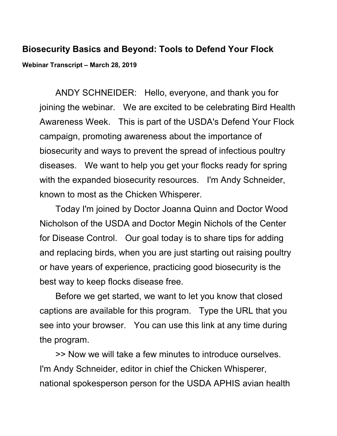## **Biosecurity Basics and Beyond: Tools to Defend Your Flock Webinar Transcript – March 28, 2019**

ANDY SCHNEIDER: Hello, everyone, and thank you for joining the webinar. We are excited to be celebrating Bird Health Awareness Week. This is part of the USDA's Defend Your Flock campaign, promoting awareness about the importance of biosecurity and ways to prevent the spread of infectious poultry diseases. We want to help you get your flocks ready for spring with the expanded biosecurity resources. I'm Andy Schneider, known to most as the Chicken Whisperer.

Today I'm joined by Doctor Joanna Quinn and Doctor Wood Nicholson of the USDA and Doctor Megin Nichols of the Center for Disease Control. Our goal today is to share tips for adding and replacing birds, when you are just starting out raising poultry or have years of experience, practicing good biosecurity is the best way to keep flocks disease free.

Before we get started, we want to let you know that closed captions are available for this program. Type the URL that you see into your browser. You can use this link at any time during the program.

>> Now we will take a few minutes to introduce ourselves. I'm Andy Schneider, editor in chief the Chicken Whisperer, national spokesperson person for the USDA APHIS avian health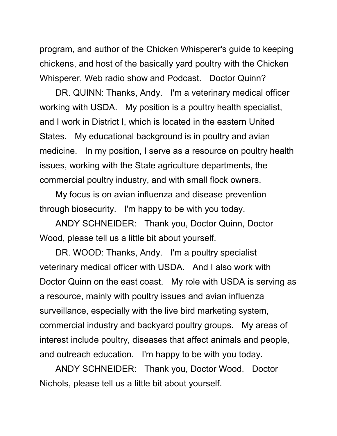program, and author of the Chicken Whisperer's guide to keeping chickens, and host of the basically yard poultry with the Chicken Whisperer, Web radio show and Podcast. Doctor Quinn?

DR. QUINN: Thanks, Andy. I'm a veterinary medical officer working with USDA. My position is a poultry health specialist, and I work in District I, which is located in the eastern United States. My educational background is in poultry and avian medicine. In my position, I serve as a resource on poultry health issues, working with the State agriculture departments, the commercial poultry industry, and with small flock owners.

My focus is on avian influenza and disease prevention through biosecurity. I'm happy to be with you today.

ANDY SCHNEIDER: Thank you, Doctor Quinn, Doctor Wood, please tell us a little bit about yourself.

DR. WOOD: Thanks, Andy. I'm a poultry specialist veterinary medical officer with USDA. And I also work with Doctor Quinn on the east coast. My role with USDA is serving as a resource, mainly with poultry issues and avian influenza surveillance, especially with the live bird marketing system, commercial industry and backyard poultry groups. My areas of interest include poultry, diseases that affect animals and people, and outreach education. I'm happy to be with you today.

ANDY SCHNEIDER: Thank you, Doctor Wood. Doctor Nichols, please tell us a little bit about yourself.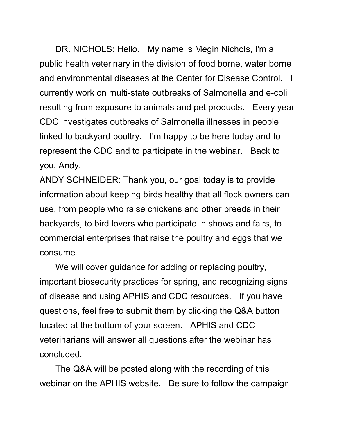DR. NICHOLS: Hello. My name is Megin Nichols, I'm a public health veterinary in the division of food borne, water borne and environmental diseases at the Center for Disease Control. I currently work on multi-state outbreaks of Salmonella and e-coli resulting from exposure to animals and pet products. Every year CDC investigates outbreaks of Salmonella illnesses in people linked to backyard poultry. I'm happy to be here today and to represent the CDC and to participate in the webinar. Back to you, Andy.

ANDY SCHNEIDER: Thank you, our goal today is to provide information about keeping birds healthy that all flock owners can use, from people who raise chickens and other breeds in their backyards, to bird lovers who participate in shows and fairs, to commercial enterprises that raise the poultry and eggs that we consume.

We will cover guidance for adding or replacing poultry, important biosecurity practices for spring, and recognizing signs of disease and using APHIS and CDC resources. If you have questions, feel free to submit them by clicking the Q&A button located at the bottom of your screen. APHIS and CDC veterinarians will answer all questions after the webinar has concluded.

The Q&A will be posted along with the recording of this webinar on the APHIS website. Be sure to follow the campaign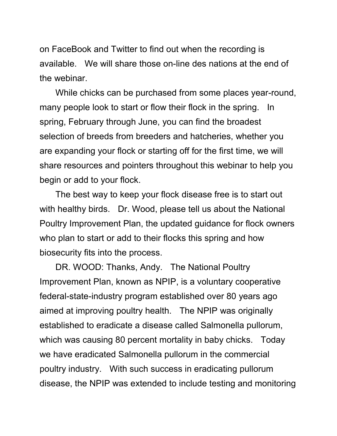on FaceBook and Twitter to find out when the recording is available. We will share those on-line des nations at the end of the webinar.

While chicks can be purchased from some places year-round, many people look to start or flow their flock in the spring. In spring, February through June, you can find the broadest selection of breeds from breeders and hatcheries, whether you are expanding your flock or starting off for the first time, we will share resources and pointers throughout this webinar to help you begin or add to your flock.

The best way to keep your flock disease free is to start out with healthy birds. Dr. Wood, please tell us about the National Poultry Improvement Plan, the updated guidance for flock owners who plan to start or add to their flocks this spring and how biosecurity fits into the process.

DR. WOOD: Thanks, Andy. The National Poultry Improvement Plan, known as NPIP, is a voluntary cooperative federal-state-industry program established over 80 years ago aimed at improving poultry health. The NPIP was originally established to eradicate a disease called Salmonella pullorum, which was causing 80 percent mortality in baby chicks. Today we have eradicated Salmonella pullorum in the commercial poultry industry. With such success in eradicating pullorum disease, the NPIP was extended to include testing and monitoring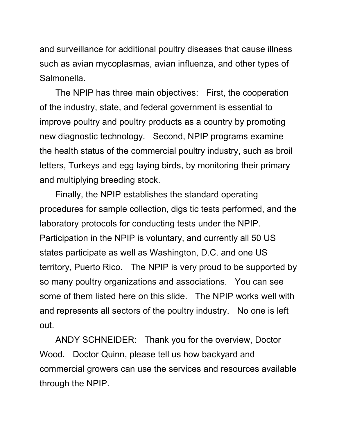and surveillance for additional poultry diseases that cause illness such as avian mycoplasmas, avian influenza, and other types of Salmonella.

The NPIP has three main objectives: First, the cooperation of the industry, state, and federal government is essential to improve poultry and poultry products as a country by promoting new diagnostic technology. Second, NPIP programs examine the health status of the commercial poultry industry, such as broil letters, Turkeys and egg laying birds, by monitoring their primary and multiplying breeding stock.

Finally, the NPIP establishes the standard operating procedures for sample collection, digs tic tests performed, and the laboratory protocols for conducting tests under the NPIP. Participation in the NPIP is voluntary, and currently all 50 US states participate as well as Washington, D.C. and one US territory, Puerto Rico. The NPIP is very proud to be supported by so many poultry organizations and associations. You can see some of them listed here on this slide. The NPIP works well with and represents all sectors of the poultry industry. No one is left out.

ANDY SCHNEIDER: Thank you for the overview, Doctor Wood. Doctor Quinn, please tell us how backyard and commercial growers can use the services and resources available through the NPIP.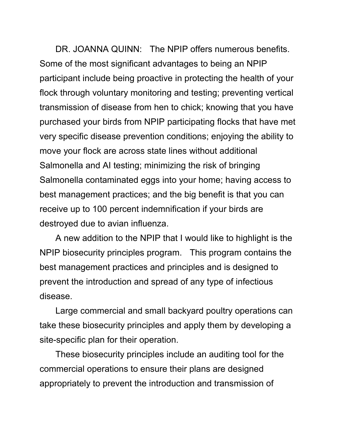DR. JOANNA QUINN: The NPIP offers numerous benefits. Some of the most significant advantages to being an NPIP participant include being proactive in protecting the health of your flock through voluntary monitoring and testing; preventing vertical transmission of disease from hen to chick; knowing that you have purchased your birds from NPIP participating flocks that have met very specific disease prevention conditions; enjoying the ability to move your flock are across state lines without additional Salmonella and AI testing; minimizing the risk of bringing Salmonella contaminated eggs into your home; having access to best management practices; and the big benefit is that you can receive up to 100 percent indemnification if your birds are destroyed due to avian influenza.

A new addition to the NPIP that I would like to highlight is the NPIP biosecurity principles program. This program contains the best management practices and principles and is designed to prevent the introduction and spread of any type of infectious disease.

Large commercial and small backyard poultry operations can take these biosecurity principles and apply them by developing a site-specific plan for their operation.

These biosecurity principles include an auditing tool for the commercial operations to ensure their plans are designed appropriately to prevent the introduction and transmission of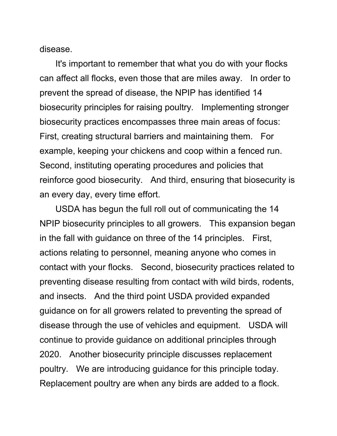disease.

It's important to remember that what you do with your flocks can affect all flocks, even those that are miles away. In order to prevent the spread of disease, the NPIP has identified 14 biosecurity principles for raising poultry. Implementing stronger biosecurity practices encompasses three main areas of focus: First, creating structural barriers and maintaining them. For example, keeping your chickens and coop within a fenced run. Second, instituting operating procedures and policies that reinforce good biosecurity. And third, ensuring that biosecurity is an every day, every time effort.

USDA has begun the full roll out of communicating the 14 NPIP biosecurity principles to all growers. This expansion began in the fall with guidance on three of the 14 principles. First, actions relating to personnel, meaning anyone who comes in contact with your flocks. Second, biosecurity practices related to preventing disease resulting from contact with wild birds, rodents, and insects. And the third point USDA provided expanded guidance on for all growers related to preventing the spread of disease through the use of vehicles and equipment. USDA will continue to provide guidance on additional principles through 2020. Another biosecurity principle discusses replacement poultry. We are introducing guidance for this principle today. Replacement poultry are when any birds are added to a flock.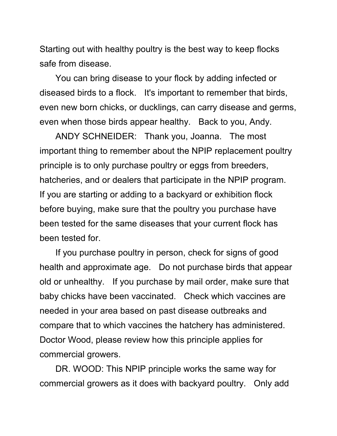Starting out with healthy poultry is the best way to keep flocks safe from disease.

You can bring disease to your flock by adding infected or diseased birds to a flock. It's important to remember that birds, even new born chicks, or ducklings, can carry disease and germs, even when those birds appear healthy. Back to you, Andy.

ANDY SCHNEIDER: Thank you, Joanna. The most important thing to remember about the NPIP replacement poultry principle is to only purchase poultry or eggs from breeders, hatcheries, and or dealers that participate in the NPIP program. If you are starting or adding to a backyard or exhibition flock before buying, make sure that the poultry you purchase have been tested for the same diseases that your current flock has been tested for.

If you purchase poultry in person, check for signs of good health and approximate age. Do not purchase birds that appear old or unhealthy. If you purchase by mail order, make sure that baby chicks have been vaccinated. Check which vaccines are needed in your area based on past disease outbreaks and compare that to which vaccines the hatchery has administered. Doctor Wood, please review how this principle applies for commercial growers.

DR. WOOD: This NPIP principle works the same way for commercial growers as it does with backyard poultry. Only add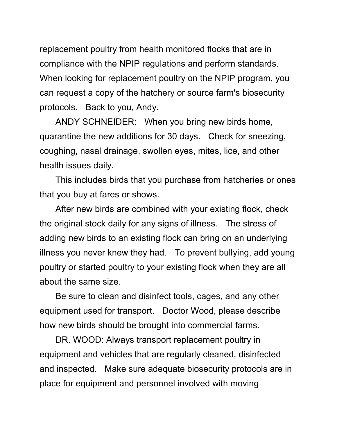replacement poultry from health monitored flocks that are in compliance with the NPIP regulations and perform standards. When looking for replacement poultry on the NPIP program, you can request a copy of the hatchery or source farm's biosecurity protocols. Back to you, Andy.

ANDY SCHNEIDER: When you bring new birds home, quarantine the new additions for 30 days. Check for sneezing, coughing, nasal drainage, swollen eyes, mites, lice, and other health issues daily.

This includes birds that you purchase from hatcheries or ones that you buy at fares or shows.

After new birds are combined with your existing flock, check the original stock daily for any signs of illness. The stress of adding new birds to an existing flock can bring on an underlying illness you never knew they had. To prevent bullying, add young poultry or started poultry to your existing flock when they are all about the same size.

Be sure to clean and disinfect tools, cages, and any other equipment used for transport. Doctor Wood, please describe how new birds should be brought into commercial farms.

DR. WOOD: Always transport replacement poultry in equipment and vehicles that are regularly cleaned, disinfected and inspected. Make sure adequate biosecurity protocols are in place for equipment and personnel involved with moving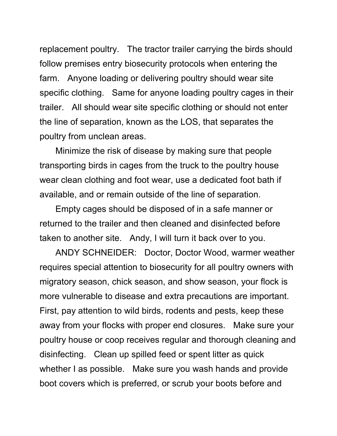replacement poultry. The tractor trailer carrying the birds should follow premises entry biosecurity protocols when entering the farm. Anyone loading or delivering poultry should wear site specific clothing. Same for anyone loading poultry cages in their trailer. All should wear site specific clothing or should not enter the line of separation, known as the LOS, that separates the poultry from unclean areas.

Minimize the risk of disease by making sure that people transporting birds in cages from the truck to the poultry house wear clean clothing and foot wear, use a dedicated foot bath if available, and or remain outside of the line of separation.

Empty cages should be disposed of in a safe manner or returned to the trailer and then cleaned and disinfected before taken to another site. Andy, I will turn it back over to you.

ANDY SCHNEIDER: Doctor, Doctor Wood, warmer weather requires special attention to biosecurity for all poultry owners with migratory season, chick season, and show season, your flock is more vulnerable to disease and extra precautions are important. First, pay attention to wild birds, rodents and pests, keep these away from your flocks with proper end closures. Make sure your poultry house or coop receives regular and thorough cleaning and disinfecting. Clean up spilled feed or spent litter as quick whether I as possible. Make sure you wash hands and provide boot covers which is preferred, or scrub your boots before and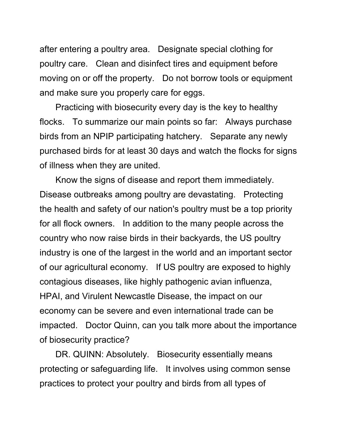after entering a poultry area. Designate special clothing for poultry care. Clean and disinfect tires and equipment before moving on or off the property. Do not borrow tools or equipment and make sure you properly care for eggs.

Practicing with biosecurity every day is the key to healthy flocks. To summarize our main points so far: Always purchase birds from an NPIP participating hatchery. Separate any newly purchased birds for at least 30 days and watch the flocks for signs of illness when they are united.

Know the signs of disease and report them immediately. Disease outbreaks among poultry are devastating. Protecting the health and safety of our nation's poultry must be a top priority for all flock owners. In addition to the many people across the country who now raise birds in their backyards, the US poultry industry is one of the largest in the world and an important sector of our agricultural economy. If US poultry are exposed to highly contagious diseases, like highly pathogenic avian influenza, HPAI, and Virulent Newcastle Disease, the impact on our economy can be severe and even international trade can be impacted. Doctor Quinn, can you talk more about the importance of biosecurity practice?

DR. QUINN: Absolutely. Biosecurity essentially means protecting or safeguarding life. It involves using common sense practices to protect your poultry and birds from all types of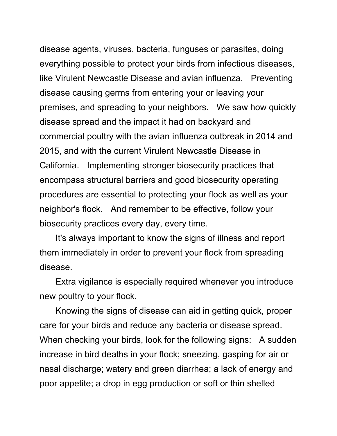disease agents, viruses, bacteria, funguses or parasites, doing everything possible to protect your birds from infectious diseases, like Virulent Newcastle Disease and avian influenza. Preventing disease causing germs from entering your or leaving your premises, and spreading to your neighbors. We saw how quickly disease spread and the impact it had on backyard and commercial poultry with the avian influenza outbreak in 2014 and 2015, and with the current Virulent Newcastle Disease in California. Implementing stronger biosecurity practices that encompass structural barriers and good biosecurity operating procedures are essential to protecting your flock as well as your neighbor's flock. And remember to be effective, follow your biosecurity practices every day, every time.

It's always important to know the signs of illness and report them immediately in order to prevent your flock from spreading disease.

Extra vigilance is especially required whenever you introduce new poultry to your flock.

Knowing the signs of disease can aid in getting quick, proper care for your birds and reduce any bacteria or disease spread. When checking your birds, look for the following signs: A sudden increase in bird deaths in your flock; sneezing, gasping for air or nasal discharge; watery and green diarrhea; a lack of energy and poor appetite; a drop in egg production or soft or thin shelled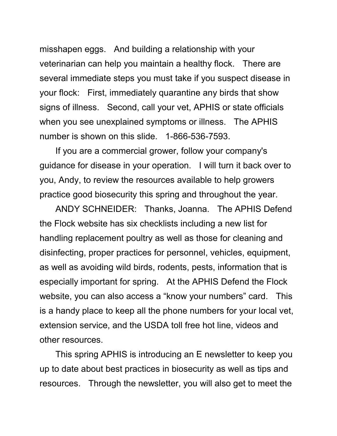misshapen eggs. And building a relationship with your veterinarian can help you maintain a healthy flock. There are several immediate steps you must take if you suspect disease in your flock: First, immediately quarantine any birds that show signs of illness. Second, call your vet, APHIS or state officials when you see unexplained symptoms or illness. The APHIS number is shown on this slide. 1-866-536-7593.

If you are a commercial grower, follow your company's guidance for disease in your operation. I will turn it back over to you, Andy, to review the resources available to help growers practice good biosecurity this spring and throughout the year.

ANDY SCHNEIDER: Thanks, Joanna. The APHIS Defend the Flock website has six checklists including a new list for handling replacement poultry as well as those for cleaning and disinfecting, proper practices for personnel, vehicles, equipment, as well as avoiding wild birds, rodents, pests, information that is especially important for spring. At the APHIS Defend the Flock website, you can also access a "know your numbers" card. This is a handy place to keep all the phone numbers for your local vet, extension service, and the USDA toll free hot line, videos and other resources.

This spring APHIS is introducing an E newsletter to keep you up to date about best practices in biosecurity as well as tips and resources. Through the newsletter, you will also get to meet the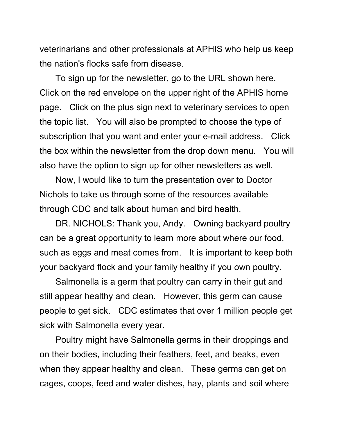veterinarians and other professionals at APHIS who help us keep the nation's flocks safe from disease.

To sign up for the newsletter, go to the URL shown here. Click on the red envelope on the upper right of the APHIS home page. Click on the plus sign next to veterinary services to open the topic list. You will also be prompted to choose the type of subscription that you want and enter your e-mail address. Click the box within the newsletter from the drop down menu. You will also have the option to sign up for other newsletters as well.

Now, I would like to turn the presentation over to Doctor Nichols to take us through some of the resources available through CDC and talk about human and bird health.

DR. NICHOLS: Thank you, Andy. Owning backyard poultry can be a great opportunity to learn more about where our food, such as eggs and meat comes from. It is important to keep both your backyard flock and your family healthy if you own poultry.

Salmonella is a germ that poultry can carry in their gut and still appear healthy and clean. However, this germ can cause people to get sick. CDC estimates that over 1 million people get sick with Salmonella every year.

Poultry might have Salmonella germs in their droppings and on their bodies, including their feathers, feet, and beaks, even when they appear healthy and clean. These germs can get on cages, coops, feed and water dishes, hay, plants and soil where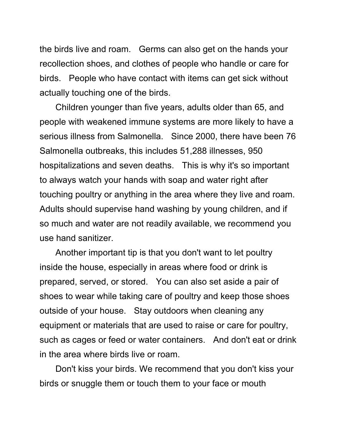the birds live and roam. Germs can also get on the hands your recollection shoes, and clothes of people who handle or care for birds. People who have contact with items can get sick without actually touching one of the birds.

Children younger than five years, adults older than 65, and people with weakened immune systems are more likely to have a serious illness from Salmonella. Since 2000, there have been 76 Salmonella outbreaks, this includes 51,288 illnesses, 950 hospitalizations and seven deaths. This is why it's so important to always watch your hands with soap and water right after touching poultry or anything in the area where they live and roam. Adults should supervise hand washing by young children, and if so much and water are not readily available, we recommend you use hand sanitizer.

Another important tip is that you don't want to let poultry inside the house, especially in areas where food or drink is prepared, served, or stored. You can also set aside a pair of shoes to wear while taking care of poultry and keep those shoes outside of your house. Stay outdoors when cleaning any equipment or materials that are used to raise or care for poultry, such as cages or feed or water containers. And don't eat or drink in the area where birds live or roam.

Don't kiss your birds. We recommend that you don't kiss your birds or snuggle them or touch them to your face or mouth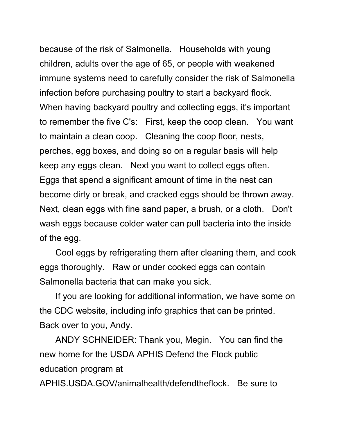because of the risk of Salmonella. Households with young children, adults over the age of 65, or people with weakened immune systems need to carefully consider the risk of Salmonella infection before purchasing poultry to start a backyard flock. When having backyard poultry and collecting eggs, it's important to remember the five C's: First, keep the coop clean. You want to maintain a clean coop. Cleaning the coop floor, nests, perches, egg boxes, and doing so on a regular basis will help keep any eggs clean. Next you want to collect eggs often. Eggs that spend a significant amount of time in the nest can become dirty or break, and cracked eggs should be thrown away. Next, clean eggs with fine sand paper, a brush, or a cloth. Don't wash eggs because colder water can pull bacteria into the inside of the egg.

Cool eggs by refrigerating them after cleaning them, and cook eggs thoroughly. Raw or under cooked eggs can contain Salmonella bacteria that can make you sick.

If you are looking for additional information, we have some on the CDC website, including info graphics that can be printed. Back over to you, Andy.

ANDY SCHNEIDER: Thank you, Megin. You can find the new home for the USDA APHIS Defend the Flock public education program at

APHIS.USDA.GOV/animalhealth/defendtheflock. Be sure to